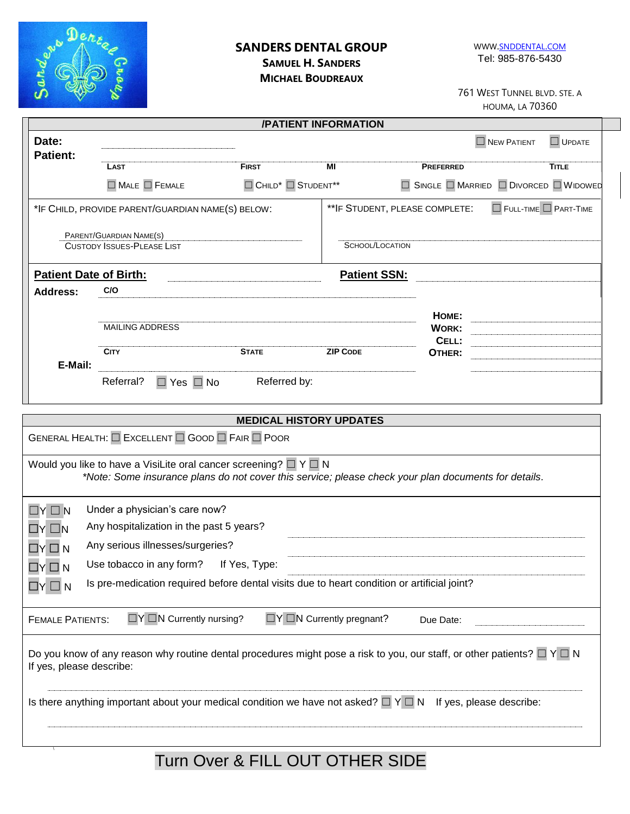

## **SANDERS DENTAL GROUP SAMUEL H. SANDERS**

WWW.SNDDENTAL.COM Tel: 985-876-5430

**MICHAEL BOUDREAUX**

761 WEST TUNNEL BLVD. STE. A HOUMA, LA 70360

| /PATIENT INFORMATION                                                                                                                                                             |                                                                                                                                                  |                                                        |                                     |                                          |                                   |               |  |  |
|----------------------------------------------------------------------------------------------------------------------------------------------------------------------------------|--------------------------------------------------------------------------------------------------------------------------------------------------|--------------------------------------------------------|-------------------------------------|------------------------------------------|-----------------------------------|---------------|--|--|
| Date:<br><b>Patient:</b>                                                                                                                                                         |                                                                                                                                                  |                                                        |                                     |                                          | $\square$ NEW PATIENT             | $\Box$ UPDATE |  |  |
|                                                                                                                                                                                  | <b>LAST</b>                                                                                                                                      | <b>FIRST</b>                                           | МI                                  | <b>PREFERRED</b>                         |                                   | <b>TITLE</b>  |  |  |
|                                                                                                                                                                                  | $\Box$ Male $\Box$ Female                                                                                                                        | $\Box$ CHILD <sup>*</sup> $\Box$ STUDENT <sup>**</sup> |                                     | □ SINGLE □ MARRIED □ DIVORCED □ WIDOWED  |                                   |               |  |  |
|                                                                                                                                                                                  | *IF CHILD, PROVIDE PARENT/GUARDIAN NAME(S) BELOW:                                                                                                |                                                        |                                     | ** IF STUDENT, PLEASE COMPLETE:          | $\Box$ FULL-TIME $\Box$ PART-TIME |               |  |  |
|                                                                                                                                                                                  | PARENT/GUARDIAN NAME(S)<br><b>CUSTODY ISSUES-PLEASE LIST</b>                                                                                     |                                                        | SCHOOL/LOCATION                     |                                          |                                   |               |  |  |
|                                                                                                                                                                                  | <b>Patient Date of Birth:</b>                                                                                                                    |                                                        | <b>Patient SSN:</b>                 |                                          |                                   |               |  |  |
| <b>Address:</b>                                                                                                                                                                  | C/O                                                                                                                                              |                                                        |                                     |                                          |                                   |               |  |  |
|                                                                                                                                                                                  | <b>MAILING ADDRESS</b><br><b>CITY</b>                                                                                                            | <b>STATE</b>                                           | <b>ZIP CODE</b>                     | HOME:<br><b>WORK:</b><br>CELL:<br>OTHER: |                                   |               |  |  |
| E-Mail:                                                                                                                                                                          | Referral?<br>$\Box$ Yes $\Box$ No                                                                                                                | Referred by:                                           |                                     |                                          |                                   |               |  |  |
|                                                                                                                                                                                  |                                                                                                                                                  | <b>MEDICAL HISTORY UPDATES</b>                         |                                     |                                          |                                   |               |  |  |
|                                                                                                                                                                                  | GENERAL HEALTH: EXCELLENT EGOOD E FAIR POOR                                                                                                      |                                                        |                                     |                                          |                                   |               |  |  |
| Would you like to have a VisiLite oral cancer screening? $\Box Y \Box N$<br>*Note: Some insurance plans do not cover this service; please check your plan documents for details. |                                                                                                                                                  |                                                        |                                     |                                          |                                   |               |  |  |
| $Y \square N$                                                                                                                                                                    | Under a physician's care now?                                                                                                                    |                                                        |                                     |                                          |                                   |               |  |  |
| $\Box$ Y $\Box$ N                                                                                                                                                                | Any hospitalization in the past 5 years?                                                                                                         |                                                        |                                     |                                          |                                   |               |  |  |
| $\Box$ Y $\Box$ N                                                                                                                                                                | Any serious illnesses/surgeries?                                                                                                                 |                                                        |                                     |                                          |                                   |               |  |  |
| $\Box Y \Box N$                                                                                                                                                                  | Use tobacco in any form?                                                                                                                         | If Yes, Type:                                          |                                     |                                          |                                   |               |  |  |
| N<br>LIY.                                                                                                                                                                        | Is pre-medication required before dental visits due to heart condition or artificial joint?                                                      |                                                        |                                     |                                          |                                   |               |  |  |
| <b>FEMALE PATIENTS:</b>                                                                                                                                                          | $\Box Y \Box N$ Currently nursing?                                                                                                               |                                                        | $\Box Y \Box N$ Currently pregnant? | Due Date:                                |                                   |               |  |  |
| If yes, please describe:                                                                                                                                                         | Do you know of any reason why routine dental procedures might pose a risk to you, our staff, or other patients? $\square \nvdash \square \nabla$ |                                                        |                                     |                                          |                                   |               |  |  |
|                                                                                                                                                                                  | Is there anything important about your medical condition we have not asked? $\Box \lor \Box N$ If yes, please describe:                          |                                                        |                                     |                                          |                                   |               |  |  |
|                                                                                                                                                                                  |                                                                                                                                                  |                                                        |                                     |                                          |                                   |               |  |  |

# Turn Over & FILL OUT OTHER SIDE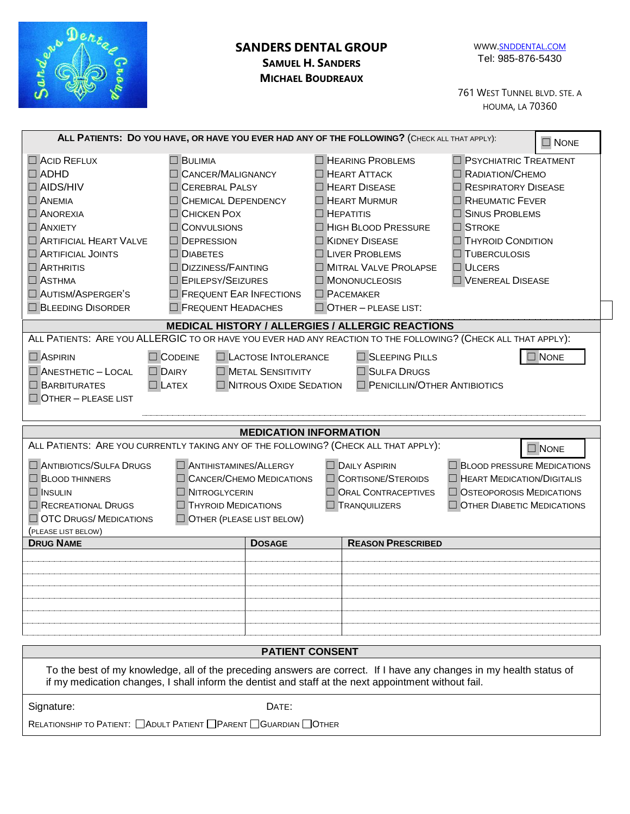| Maria Denis<br><b>SANDERS DENTAL GROUP</b><br><b>SAMUEL H. SANDERS</b><br><b>MICHAEL BOUDREAUX</b>                                                                                                                                                                                                                                                                                                                                      |                                                                                                                                                                                                                                                                                                               |                                                                                                                                                                                                                                                                                          | WWW.SNDDENTAL.COM<br>Tel: 985-876-5430<br>761 WEST TUNNEL BLVD. STE. A<br><b>HOUMA, LA 70360</b>                                                                                                                                       |  |  |  |  |  |  |
|-----------------------------------------------------------------------------------------------------------------------------------------------------------------------------------------------------------------------------------------------------------------------------------------------------------------------------------------------------------------------------------------------------------------------------------------|---------------------------------------------------------------------------------------------------------------------------------------------------------------------------------------------------------------------------------------------------------------------------------------------------------------|------------------------------------------------------------------------------------------------------------------------------------------------------------------------------------------------------------------------------------------------------------------------------------------|----------------------------------------------------------------------------------------------------------------------------------------------------------------------------------------------------------------------------------------|--|--|--|--|--|--|
| ALL PATIENTS: DO YOU HAVE, OR HAVE YOU EVER HAD ANY OF THE FOLLOWING? (CHECK ALL THAT APPLY):<br>$\Box$ NONE                                                                                                                                                                                                                                                                                                                            |                                                                                                                                                                                                                                                                                                               |                                                                                                                                                                                                                                                                                          |                                                                                                                                                                                                                                        |  |  |  |  |  |  |
| $\Box$ ACID REFLUX<br>$\Box$ ADHD<br>$\Box$ AIDS/HIV<br>$\Box$ ANEMIA<br><b>NOREXIA</b><br>$\Box$ ANXIETY<br>ARTIFICIAL HEART VALVE<br><b>ARTIFICIAL JOINTS</b><br>$\Box$ ARTHRITIS<br>$\Box$ ASTHMA<br>AUTISM/ASPERGER'S<br><b>BLEEDING DISORDER</b>                                                                                                                                                                                   | <b>BULIMIA</b><br><b>CANCER/MALIGNANCY</b><br><b>CEREBRAL PALSY</b><br><b>CHEMICAL DEPENDENCY</b><br><b>CHICKEN POX</b><br><b>CONVULSIONS</b><br><b>DEPRESSION</b><br><b>DIABETES</b><br><b>DIZZINESS/FAINTING</b><br><b>EPILEPSY/SEIZURES</b><br>$\Box$ FREQUENT EAR INFECTIONS<br><b>FREQUENT HEADACHES</b> | <b>HEARING PROBLEMS</b><br>$\Box$ HEART ATTACK<br><b>HEART DISEASE</b><br>$\Box$ HEART MURMUR<br>$\Box$ HEPATITIS<br>HIGH BLOOD PRESSURE<br><b>EXIDNEY DISEASE</b><br><b>LIVER PROBLEMS</b><br>MITRAL VALVE PROLAPSE<br>MONONUCLEOSIS<br>$\Box$ PACEMAKER<br>$\Box$ OTHER - PLEASE LIST: | $\Box$ PSYCHIATRIC TREATMENT<br>RADIATION/CHEMO<br>$\Box$ RESPIRATORY DISEASE<br>RHEUMATIC FEVER<br>□ SINUS PROBLEMS<br><b>STROKE</b><br><b>THYROID CONDITION</b><br><b>TUBERCULOSIS</b><br><b>ULCERS</b><br><b>U</b> VENEREAL DISEASE |  |  |  |  |  |  |
|                                                                                                                                                                                                                                                                                                                                                                                                                                         | <b>MEDICAL HISTORY / ALLERGIES / ALLERGIC REACTIONS</b>                                                                                                                                                                                                                                                       |                                                                                                                                                                                                                                                                                          |                                                                                                                                                                                                                                        |  |  |  |  |  |  |
| ALL PATIENTS: ARE YOU ALLERGIC TO OR HAVE YOU EVER HAD ANY REACTION TO THE FOLLOWING? (CHECK ALL THAT APPLY):<br>SLEEPING PILLS<br><b>NONE</b><br><b>LACTOSE INTOLERANCE</b><br>$\Box$ ASPIRIN<br>$\Box$ CODEINE<br>DAIRY<br><b>NETAL SENSITIVITY</b><br>SULFA DRUGS<br>$\Box$ ANESTHETIC - LOCAL<br>PENICILLIN/OTHER ANTIBIOTICS<br>$\Box$ NITROUS OXIDE SEDATION<br><b>BARBITURATES</b><br>$\Box$ Latex<br>$\Box$ OTHER - PLEASE LIST |                                                                                                                                                                                                                                                                                                               |                                                                                                                                                                                                                                                                                          |                                                                                                                                                                                                                                        |  |  |  |  |  |  |
|                                                                                                                                                                                                                                                                                                                                                                                                                                         | <b>MEDICATION INFORMATION</b>                                                                                                                                                                                                                                                                                 |                                                                                                                                                                                                                                                                                          |                                                                                                                                                                                                                                        |  |  |  |  |  |  |
| <b>ANTIBIOTICS/SULFA DRUGS</b><br><b>BLOOD THINNERS</b><br><b>INSULIN</b><br>$\Box$ RECREATIONAL DRUGS<br><b>OTC DRUGS/ MEDICATIONS</b><br>(PLEASE LIST BELOW)                                                                                                                                                                                                                                                                          | ALL PATIENTS: ARE YOU CURRENTLY TAKING ANY OF THE FOLLOWING? (CHECK ALL THAT APPLY):<br>ANTIHISTAMINES/ALLERGY<br><b>CANCER/CHEMO MEDICATIONS</b><br>$\Box$<br><b>NITROGLYCERIN</b><br>$\Box$ THYROID MEDICATIONS<br>$\Box$ OTHER (PLEASE LIST BELOW)                                                         | <b>DAILY ASPIRIN</b><br><b>CORTISONE/STEROIDS</b><br>ORAL CONTRACEPTIVES<br><b>TRANQUILIZERS</b>                                                                                                                                                                                         | $\Box$ NONE<br><b>BLOOD PRESSURE MEDICATIONS</b><br><b>HEART MEDICATION/DIGITALIS</b><br>$\Box$ OSTEOPOROSIS MEDICATIONS<br><b>OTHER DIABETIC MEDICATIONS</b>                                                                          |  |  |  |  |  |  |
| <b>DRUG NAME</b>                                                                                                                                                                                                                                                                                                                                                                                                                        | <b>DOSAGE</b>                                                                                                                                                                                                                                                                                                 | <b>REASON PRESCRIBED</b>                                                                                                                                                                                                                                                                 |                                                                                                                                                                                                                                        |  |  |  |  |  |  |
|                                                                                                                                                                                                                                                                                                                                                                                                                                         |                                                                                                                                                                                                                                                                                                               |                                                                                                                                                                                                                                                                                          |                                                                                                                                                                                                                                        |  |  |  |  |  |  |
| <b>PATIENT CONSENT</b>                                                                                                                                                                                                                                                                                                                                                                                                                  |                                                                                                                                                                                                                                                                                                               |                                                                                                                                                                                                                                                                                          |                                                                                                                                                                                                                                        |  |  |  |  |  |  |
| To the best of my knowledge, all of the preceding answers are correct. If I have any changes in my health status of<br>if my medication changes, I shall inform the dentist and staff at the next appointment without fail.                                                                                                                                                                                                             |                                                                                                                                                                                                                                                                                                               |                                                                                                                                                                                                                                                                                          |                                                                                                                                                                                                                                        |  |  |  |  |  |  |
| Signature:                                                                                                                                                                                                                                                                                                                                                                                                                              | DATE:<br>RELATIONSHIP TO PATIENT: ADULT PATIENT PARENT GUARDIAN OTHER                                                                                                                                                                                                                                         |                                                                                                                                                                                                                                                                                          |                                                                                                                                                                                                                                        |  |  |  |  |  |  |
|                                                                                                                                                                                                                                                                                                                                                                                                                                         |                                                                                                                                                                                                                                                                                                               |                                                                                                                                                                                                                                                                                          |                                                                                                                                                                                                                                        |  |  |  |  |  |  |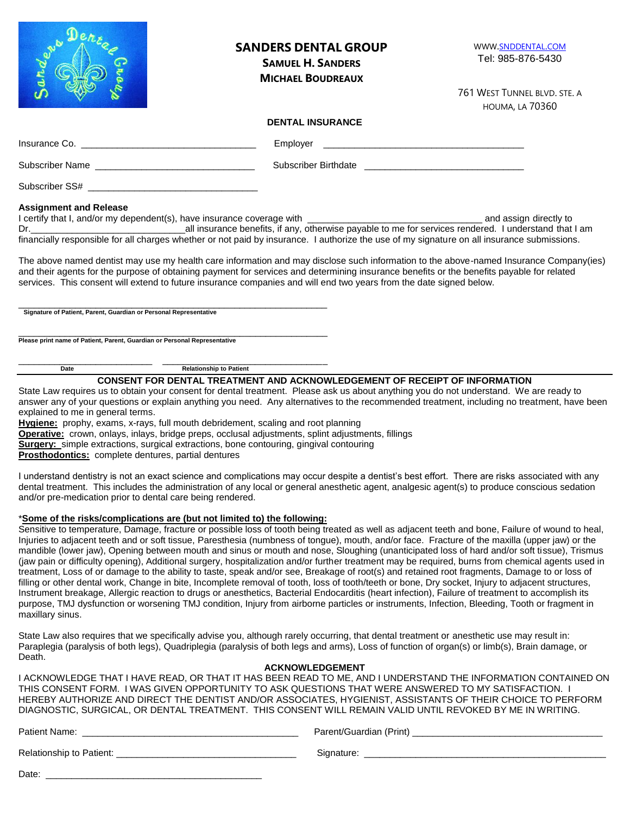| San                           | <b>SANDERS DENTAL GROUP</b><br><b>SAMUEL H. SANDERS</b><br><b>MICHAEL BOUDREAUX</b> | WWW.SNDDENTAL.COM<br>Tel: 985-876-5430                 |
|-------------------------------|-------------------------------------------------------------------------------------|--------------------------------------------------------|
|                               |                                                                                     | 761 WEST TUNNEL BLVD. STE. A<br><b>HOUMA, LA 70360</b> |
|                               | <b>DENTAL INSURANCE</b>                                                             |                                                        |
|                               | Employer                                                                            |                                                        |
|                               |                                                                                     |                                                        |
|                               |                                                                                     |                                                        |
| <b>Assignment and Release</b> |                                                                                     |                                                        |

I certify that I, and/or my dependent(s), have insurance coverage with **EXACCO and a set and assign directly to** Dr.\_\_\_\_\_\_\_\_\_\_\_\_\_\_\_\_\_\_\_\_\_\_\_\_\_\_\_\_\_\_all insurance benefits, if any, otherwise payable to me for services rendered. I understand that I am financially responsible for all charges whether or not paid by insurance. I authorize the use of my signature on all insurance submissions.

The above named dentist may use my health care information and may disclose such information to the above-named Insurance Company(ies) and their agents for the purpose of obtaining payment for services and determining insurance benefits or the benefits payable for related services. This consent will extend to future insurance companies and will end two years from the date signed below.

\_\_\_\_\_\_\_\_\_\_\_\_\_\_\_\_\_\_\_\_\_\_\_\_\_\_\_\_\_\_\_\_\_\_\_\_\_\_\_\_\_\_\_\_\_\_\_\_\_\_\_\_\_\_\_\_\_\_\_\_ **Signature of Patient, Parent, Guardian or Personal Representative**

\_\_\_\_\_\_\_\_\_\_\_\_\_\_\_\_\_\_\_\_\_\_\_\_\_\_\_\_\_\_\_\_\_\_\_\_\_\_\_\_\_\_\_\_\_\_\_\_\_\_\_\_\_\_\_\_\_\_\_\_ **Please print name of Patient, Parent, Guardian or Personal Representative**

Date **Date** Relationship to Patient

\_\_\_\_\_\_\_\_\_\_\_\_\_\_\_\_\_\_\_\_\_\_\_\_\_\_ \_\_\_\_\_\_\_\_\_\_\_\_\_\_\_\_\_\_\_\_\_\_\_\_\_\_\_\_\_\_\_\_

**CONSENT FOR DENTAL TREATMENT AND ACKNOWLEDGEMENT OF RECEIPT OF INFORMATION**

State Law requires us to obtain your consent for dental treatment. Please ask us about anything you do not understand. We are ready to answer any of your questions or explain anything you need. Any alternatives to the recommended treatment, including no treatment, have been explained to me in general terms.

**Hygiene:** prophy, exams, x-rays, full mouth debridement, scaling and root planning

**Operative:** crown, onlays, inlays, bridge preps, occlusal adjustments, splint adjustments, fillings

**Surgery:** simple extractions, surgical extractions, bone contouring, gingival contouring

**Prosthodontics:** complete dentures, partial dentures

I understand dentistry is not an exact science and complications may occur despite a dentist's best effort. There are risks associated with any dental treatment. This includes the administration of any local or general anesthetic agent, analgesic agent(s) to produce conscious sedation and/or pre-medication prior to dental care being rendered.

#### \***Some of the risks/complications are (but not limited to) the following:**

Sensitive to temperature, Damage, fracture or possible loss of tooth being treated as well as adjacent teeth and bone, Failure of wound to heal, Injuries to adjacent teeth and or soft tissue, Paresthesia (numbness of tongue), mouth, and/or face. Fracture of the maxilla (upper jaw) or the mandible (lower jaw), Opening between mouth and sinus or mouth and nose, Sloughing (unanticipated loss of hard and/or soft tissue), Trismus (jaw pain or difficulty opening), Additional surgery, hospitalization and/or further treatment may be required, burns from chemical agents used in treatment, Loss of or damage to the ability to taste, speak and/or see, Breakage of root(s) and retained root fragments, Damage to or loss of filling or other dental work, Change in bite, Incomplete removal of tooth, loss of tooth/teeth or bone, Dry socket, Injury to adjacent structures, Instrument breakage, Allergic reaction to drugs or anesthetics, Bacterial Endocarditis (heart infection), Failure of treatment to accomplish its purpose, TMJ dysfunction or worsening TMJ condition, Injury from airborne particles or instruments, Infection, Bleeding, Tooth or fragment in maxillary sinus.

State Law also requires that we specifically advise you, although rarely occurring, that dental treatment or anesthetic use may result in: Paraplegia (paralysis of both legs), Quadriplegia (paralysis of both legs and arms), Loss of function of organ(s) or limb(s), Brain damage, or Death.

#### **ACKNOWLEDGEMENT**

I ACKNOWLEDGE THAT I HAVE READ, OR THAT IT HAS BEEN READ TO ME, AND I UNDERSTAND THE INFORMATION CONTAINED ON THIS CONSENT FORM. I WAS GIVEN OPPORTUNITY TO ASK QUESTIONS THAT WERE ANSWERED TO MY SATISFACTION. I HEREBY AUTHORIZE AND DIRECT THE DENTIST AND/OR ASSOCIATES, HYGIENIST, ASSISTANTS OF THEIR CHOICE TO PERFORM DIAGNOSTIC, SURGICAL, OR DENTAL TREATMENT. THIS CONSENT WILL REMAIN VALID UNTIL REVOKED BY ME IN WRITING.

Patient Name: \_\_\_\_\_\_\_\_\_\_\_\_\_\_\_\_\_\_\_\_\_\_\_\_\_\_\_\_\_\_\_\_\_\_\_\_\_\_\_\_\_\_ Parent/Guardian (Print) \_\_\_\_\_\_\_\_\_\_\_\_\_\_\_\_\_\_\_\_\_\_\_\_\_\_\_\_\_\_\_\_\_\_\_\_\_

Relationship to Patient: \_\_\_\_\_\_\_\_\_\_\_\_\_\_\_\_\_\_\_\_\_\_\_\_\_\_\_\_\_\_\_\_\_\_\_ Signature: \_\_\_\_\_\_\_\_\_\_\_\_\_\_\_\_\_\_\_\_\_\_\_\_\_\_\_\_\_\_\_\_\_\_\_\_\_\_\_\_\_\_\_\_\_\_\_